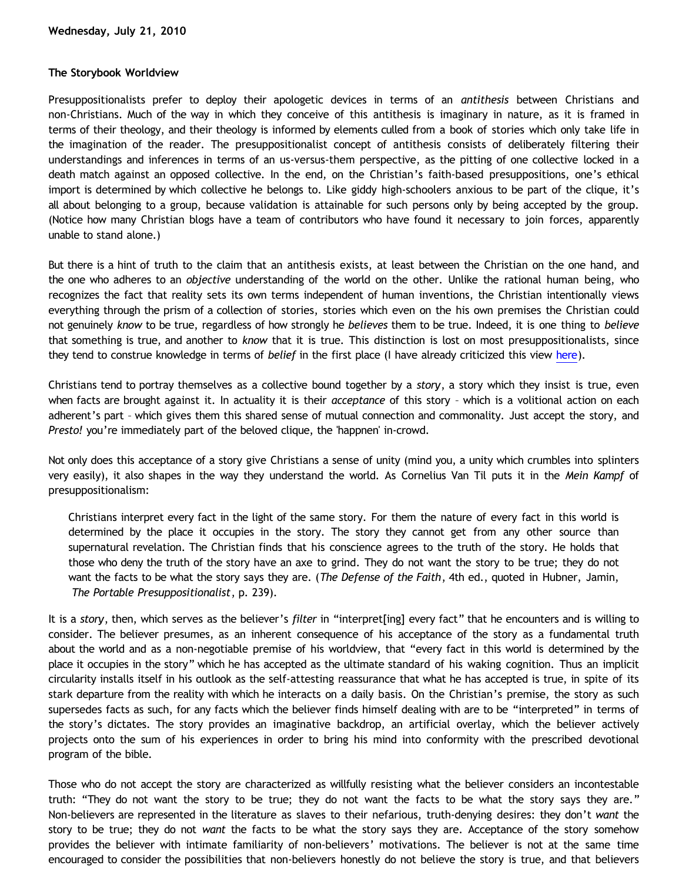## **The Storybook Worldview**

Presuppositionalists prefer to deploy their apologetic devices in terms of an *antithesis* between Christians and non-Christians. Much of the way in which they conceive of this antithesis is imaginary in nature, as it is framed in terms of their theology, and their theology is informed by elements culled from a book of stories which only take life in the imagination of the reader. The presuppositionalist concept of antithesis consists of deliberately filtering their understandings and inferences in terms of an us-versus-them perspective, as the pitting of one collective locked in a death match against an opposed collective. In the end, on the Christian's faith-based presuppositions, one's ethical import is determined by which collective he belongs to. Like giddy high-schoolers anxious to be part of the clique, it's all about belonging to a group, because validation is attainable for such persons only by being accepted by the group. (Notice how many Christian blogs have a team of contributors who have found it necessary to join forces, apparently unable to stand alone.)

But there is a hint of truth to the claim that an antithesis exists, at least between the Christian on the one hand, and the one who adheres to an *objective* understanding of the world on the other. Unlike the rational human being, who recognizes the fact that reality sets its own terms independent of human inventions, the Christian intentionally views everything through the prism of a collection of stories, stories which even on the his own premises the Christian could not genuinely *know* to be true, regardless of how strongly he *believes* them to be true. Indeed, it is one thing to *believe* that something is true, and another to *know* that it is true. This distinction is lost on most presuppositionalists, since they tend to construe knowledge in terms of *belief* in the first place (I have already criticized this view [here](http://bahnsenburner.blogspot.com/2009/07/chris-bolt-on-conditions-of-knowledge.html)).

Christians tend to portray themselves as a collective bound together by a *story*, a story which they insist is true, even when facts are brought against it. In actuality it is their *acceptance* of this story – which is a volitional action on each adherent's part – which gives them this shared sense of mutual connection and commonality. Just accept the story, and *Presto!* you're immediately part of the beloved clique, the 'happnen' in-crowd.

Not only does this acceptance of a story give Christians a sense of unity (mind you, a unity which crumbles into splinters very easily), it also shapes in the way they understand the world. As Cornelius Van Til puts it in the *Mein Kampf* of presuppositionalism:

Christians interpret every fact in the light of the same story. For them the nature of every fact in this world is determined by the place it occupies in the story. The story they cannot get from any other source than supernatural revelation. The Christian finds that his conscience agrees to the truth of the story. He holds that those who deny the truth of the story have an axe to grind. They do not want the story to be true; they do not want the facts to be what the story says they are. (*The Defense of the Faith*, 4th ed., quoted in Hubner, Jamin, *The Portable Presuppositionalist*, p. 239).

It is a *story*, then, which serves as the believer's *filter* in "interpret[ing] every fact" that he encounters and is willing to consider. The believer presumes, as an inherent consequence of his acceptance of the story as a fundamental truth about the world and as a non-negotiable premise of his worldview, that "every fact in this world is determined by the place it occupies in the story" which he has accepted as the ultimate standard of his waking cognition. Thus an implicit circularity installs itself in his outlook as the self-attesting reassurance that what he has accepted is true, in spite of its stark departure from the reality with which he interacts on a daily basis. On the Christian's premise, the story as such supersedes facts as such, for any facts which the believer finds himself dealing with are to be "interpreted" in terms of the story's dictates. The story provides an imaginative backdrop, an artificial overlay, which the believer actively projects onto the sum of his experiences in order to bring his mind into conformity with the prescribed devotional program of the bible.

Those who do not accept the story are characterized as willfully resisting what the believer considers an incontestable truth: "They do not want the story to be true; they do not want the facts to be what the story says they are." Non-believers are represented in the literature as slaves to their nefarious, truth-denying desires: they don't *want* the story to be true; they do not *want* the facts to be what the story says they are. Acceptance of the story somehow provides the believer with intimate familiarity of non-believers' motivations. The believer is not at the same time encouraged to consider the possibilities that non-believers honestly do not believe the story is true, and that believers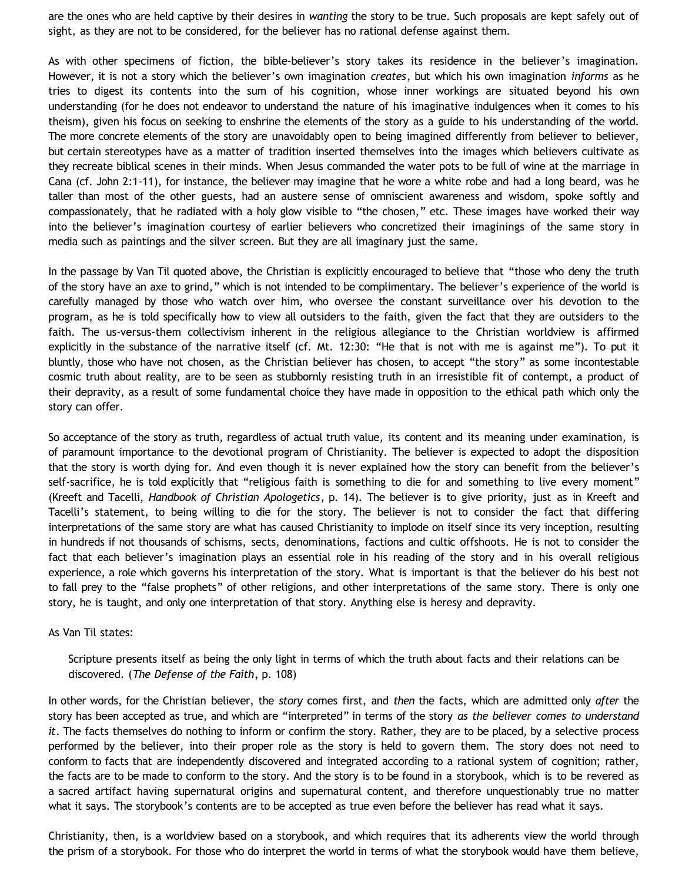are the ones who are held captive by their desires in *wanting* the story to be true. Such proposals are kept safely out of sight, as they are not to be considered, for the believer has no rational defense against them.

As with other specimens of fiction, the bible-believer's story takes its residence in the believer's imagination. However, it is not a story which the believer's own imagination *creates*, but which his own imagination *informs* as he tries to digest its contents into the sum of his cognition, whose inner workings are situated beyond his own understanding (for he does not endeavor to understand the nature of his imaginative indulgences when it comes to his theism), given his focus on seeking to enshrine the elements of the story as a guide to his understanding of the world. The more concrete elements of the story are unavoidably open to being imagined differently from believer to believer, but certain stereotypes have as a matter of tradition inserted themselves into the images which believers cultivate as they recreate biblical scenes in their minds. When Jesus commanded the water pots to be full of wine at the marriage in Cana (cf. John 2:1-11), for instance, the believer may imagine that he wore a white robe and had a long beard, was he taller than most of the other guests, had an austere sense of omniscient awareness and wisdom, spoke softly and compassionately, that he radiated with a holy glow visible to "the chosen," etc. These images have worked their way into the believer's imagination courtesy of earlier believers who concretized their imaginings of the same story in media such as paintings and the silver screen. But they are all imaginary just the same.

In the passage by Van Til quoted above, the Christian is explicitly encouraged to believe that "those who deny the truth of the story have an axe to grind," which is not intended to be complimentary. The believer's experience of the world is carefully managed by those who watch over him, who oversee the constant surveillance over his devotion to the program, as he is told specifically how to view all outsiders to the faith, given the fact that they are outsiders to the faith. The us-versus-them collectivism inherent in the religious allegiance to the Christian worldview is affirmed explicitly in the substance of the narrative itself (cf. Mt. 12:30: "He that is not with me is against me"). To put it bluntly, those who have not chosen, as the Christian believer has chosen, to accept "the story" as some incontestable cosmic truth about reality, are to be seen as stubbornly resisting truth in an irresistible fit of contempt, a product of their depravity, as a result of some fundamental choice they have made in opposition to the ethical path which only the story can offer.

So acceptance of the story as truth, regardless of actual truth value, its content and its meaning under examination, is of paramount importance to the devotional program of Christianity. The believer is expected to adopt the disposition that the story is worth dying for. And even though it is never explained how the story can benefit from the believer's self-sacrifice, he is told explicitly that "religious faith is something to die for and something to live every moment" (Kreeft and Tacelli, *Handbook of Christian Apologetics*, p. 14). The believer is to give priority, just as in Kreeft and Tacelli's statement, to being willing to die for the story. The believer is not to consider the fact that differing interpretations of the same story are what has caused Christianity to implode on itself since its very inception, resulting in hundreds if not thousands of schisms, sects, denominations, factions and cultic offshoots. He is not to consider the fact that each believer's imagination plays an essential role in his reading of the story and in his overall religious experience, a role which governs his interpretation of the story. What is important is that the believer do his best not to fall prey to the "false prophets" of other religions, and other interpretations of the same story. There is only one story, he is taught, and only one interpretation of that story. Anything else is heresy and depravity.

#### As Van Til states:

Scripture presents itself as being the only light in terms of which the truth about facts and their relations can be discovered. (*The Defense of the Faith*, p. 108)

In other words, for the Christian believer, the *story* comes first, and *then* the facts, which are admitted only *after* the story has been accepted as true, and which are "interpreted" in terms of the story *as the believer comes to understand it*. The facts themselves do nothing to inform or confirm the story. Rather, they are to be placed, by a selective process performed by the believer, into their proper role as the story is held to govern them. The story does not need to conform to facts that are independently discovered and integrated according to a rational system of cognition; rather, the facts are to be made to conform to the story. And the story is to be found in a storybook, which is to be revered as a sacred artifact having supernatural origins and supernatural content, and therefore unquestionably true no matter what it says. The storybook's contents are to be accepted as true even before the believer has read what it says.

Christianity, then, is a worldview based on a storybook, and which requires that its adherents view the world through the prism of a storybook. For those who do interpret the world in terms of what the storybook would have them believe,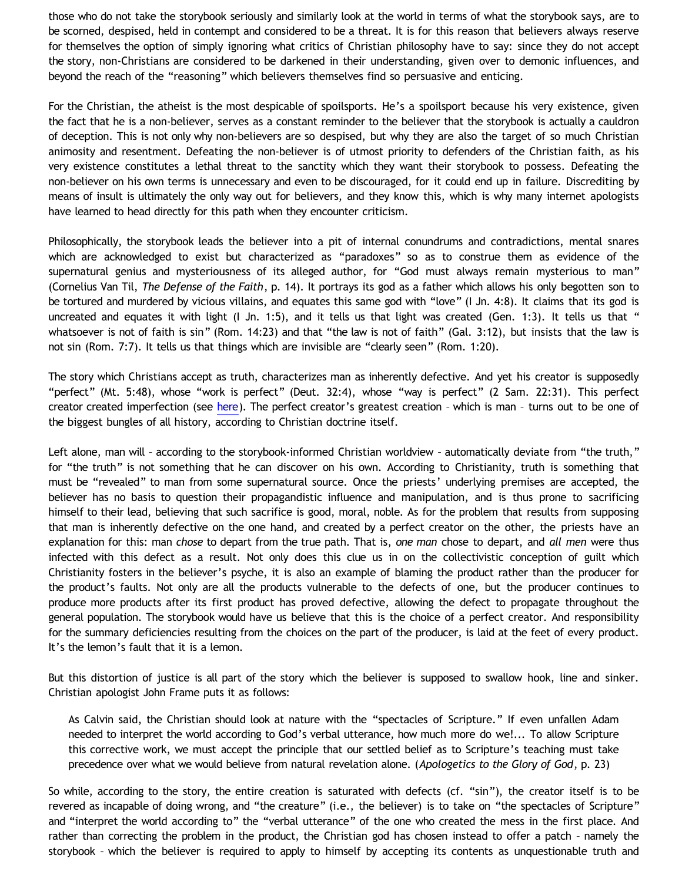those who do not take the storybook seriously and similarly look at the world in terms of what the storybook says, are to be scorned, despised, held in contempt and considered to be a threat. It is for this reason that believers always reserve for themselves the option of simply ignoring what critics of Christian philosophy have to say: since they do not accept the story, non-Christians are considered to be darkened in their understanding, given over to demonic influences, and beyond the reach of the "reasoning" which believers themselves find so persuasive and enticing.

For the Christian, the atheist is the most despicable of spoilsports. He's a spoilsport because his very existence, given the fact that he is a non-believer, serves as a constant reminder to the believer that the storybook is actually a cauldron of deception. This is not only why non-believers are so despised, but why they are also the target of so much Christian animosity and resentment. Defeating the non-believer is of utmost priority to defenders of the Christian faith, as his very existence constitutes a lethal threat to the sanctity which they want their storybook to possess. Defeating the non-believer on his own terms is unnecessary and even to be discouraged, for it could end up in failure. Discrediting by means of insult is ultimately the only way out for believers, and they know this, which is why many internet apologists have learned to head directly for this path when they encounter criticism.

Philosophically, the storybook leads the believer into a pit of internal conundrums and contradictions, mental snares which are acknowledged to exist but characterized as "paradoxes" so as to construe them as evidence of the supernatural genius and mysteriousness of its alleged author, for "God must always remain mysterious to man" (Cornelius Van Til, *The Defense of the Faith*, p. 14). It portrays its god as a father which allows his only begotten son to be tortured and murdered by vicious villains, and equates this same god with "love" (I Jn. 4:8). It claims that its god is uncreated and equates it with light (I Jn. 1:5), and it tells us that light was created (Gen. 1:3). It tells us that " whatsoever is not of faith is sin" (Rom. 14:23) and that "the law is not of faith" (Gal. 3:12), but insists that the law is not sin (Rom. 7:7). It tells us that things which are invisible are "clearly seen" (Rom. 1:20).

The story which Christians accept as truth, characterizes man as inherently defective. And yet his creator is supposedly "perfect" (Mt. 5:48), whose "work is perfect" (Deut. 32:4), whose "way is perfect" (2 Sam. 22:31). This perfect creator created imperfection (see [here](http://bahnsenburner.blogspot.com/2009/03/was-adam-created-perfect.html)). The perfect creator's greatest creation – which is man – turns out to be one of the biggest bungles of all history, according to Christian doctrine itself.

Left alone, man will - according to the storybook-informed Christian worldview - automatically deviate from "the truth," for "the truth" is not something that he can discover on his own. According to Christianity, truth is something that must be "revealed" to man from some supernatural source. Once the priests' underlying premises are accepted, the believer has no basis to question their propagandistic influence and manipulation, and is thus prone to sacrificing himself to their lead, believing that such sacrifice is good, moral, noble. As for the problem that results from supposing that man is inherently defective on the one hand, and created by a perfect creator on the other, the priests have an explanation for this: man *chose* to depart from the true path. That is, *one man* chose to depart, and *all men* were thus infected with this defect as a result. Not only does this clue us in on the collectivistic conception of guilt which Christianity fosters in the believer's psyche, it is also an example of blaming the product rather than the producer for the product's faults. Not only are all the products vulnerable to the defects of one, but the producer continues to produce more products after its first product has proved defective, allowing the defect to propagate throughout the general population. The storybook would have us believe that this is the choice of a perfect creator. And responsibility for the summary deficiencies resulting from the choices on the part of the producer, is laid at the feet of every product. It's the lemon's fault that it is a lemon.

But this distortion of justice is all part of the story which the believer is supposed to swallow hook, line and sinker. Christian apologist John Frame puts it as follows:

As Calvin said, the Christian should look at nature with the "spectacles of Scripture." If even unfallen Adam needed to interpret the world according to God's verbal utterance, how much more do we!... To allow Scripture this corrective work, we must accept the principle that our settled belief as to Scripture's teaching must take precedence over what we would believe from natural revelation alone. (*Apologetics to the Glory of God*, p. 23)

So while, according to the story, the entire creation is saturated with defects (cf. "sin"), the creator itself is to be revered as incapable of doing wrong, and "the creature" (i.e., the believer) is to take on "the spectacles of Scripture" and "interpret the world according to" the "verbal utterance" of the one who created the mess in the first place. And rather than correcting the problem in the product, the Christian god has chosen instead to offer a patch – namely the storybook – which the believer is required to apply to himself by accepting its contents as unquestionable truth and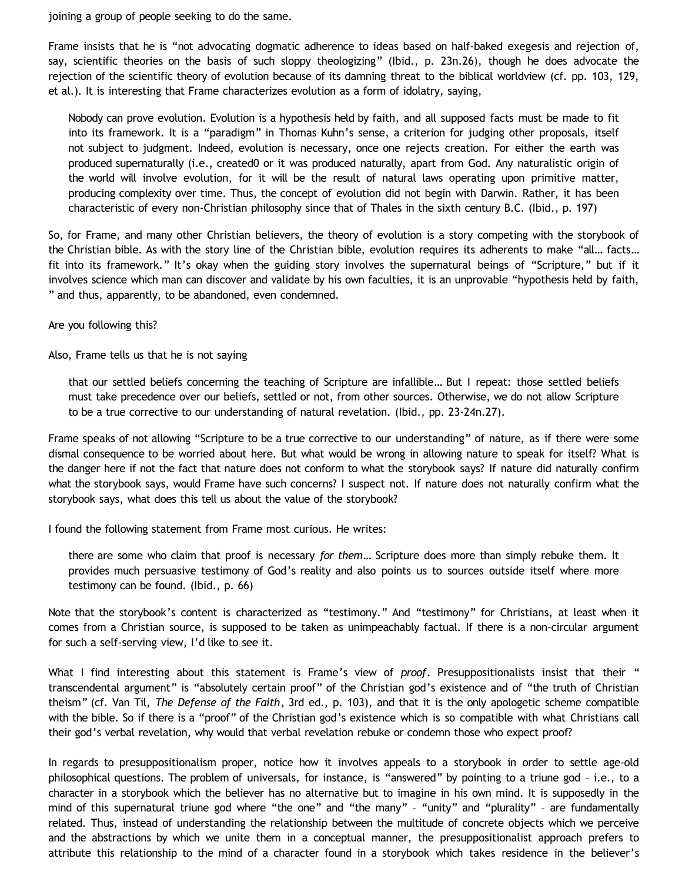joining a group of people seeking to do the same.

Frame insists that he is "not advocating dogmatic adherence to ideas based on half-baked exegesis and rejection of, say, scientific theories on the basis of such sloppy theologizing" (Ibid., p. 23n.26), though he does advocate the rejection of the scientific theory of evolution because of its damning threat to the biblical worldview (cf. pp. 103, 129, et al.). It is interesting that Frame characterizes evolution as a form of idolatry, saying,

Nobody can prove evolution. Evolution is a hypothesis held by faith, and all supposed facts must be made to fit into its framework. It is a "paradigm" in Thomas Kuhn's sense, a criterion for judging other proposals, itself not subject to judgment. Indeed, evolution is necessary, once one rejects creation. For either the earth was produced supernaturally (i.e., created0 or it was produced naturally, apart from God. Any naturalistic origin of the world will involve evolution, for it will be the result of natural laws operating upon primitive matter, producing complexity over time. Thus, the concept of evolution did not begin with Darwin. Rather, it has been characteristic of every non-Christian philosophy since that of Thales in the sixth century B.C. (Ibid., p. 197)

So, for Frame, and many other Christian believers, the theory of evolution is a story competing with the storybook of the Christian bible. As with the story line of the Christian bible, evolution requires its adherents to make "all… facts… fit into its framework." It's okay when the guiding story involves the supernatural beings of "Scripture," but if it involves science which man can discover and validate by his own faculties, it is an unprovable "hypothesis held by faith, " and thus, apparently, to be abandoned, even condemned.

Are you following this?

Also, Frame tells us that he is not saying

that our settled beliefs concerning the teaching of Scripture are infallible… But I repeat: those settled beliefs must take precedence over our beliefs, settled or not, from other sources. Otherwise, we do not allow Scripture to be a true corrective to our understanding of natural revelation. (Ibid., pp. 23-24n.27).

Frame speaks of not allowing "Scripture to be a true corrective to our understanding" of nature, as if there were some dismal consequence to be worried about here. But what would be wrong in allowing nature to speak for itself? What is the danger here if not the fact that nature does not conform to what the storybook says? If nature did naturally confirm what the storybook says, would Frame have such concerns? I suspect not. If nature does not naturally confirm what the storybook says, what does this tell us about the value of the storybook?

I found the following statement from Frame most curious. He writes:

there are some who claim that proof is necessary *for them*… Scripture does more than simply rebuke them. It provides much persuasive testimony of God's reality and also points us to sources outside itself where more testimony can be found. (Ibid., p. 66)

Note that the storybook's content is characterized as "testimony." And "testimony" for Christians, at least when it comes from a Christian source, is supposed to be taken as unimpeachably factual. If there is a non-circular argument for such a self-serving view, I'd like to see it.

What I find interesting about this statement is Frame's view of *proof*. Presuppositionalists insist that their " transcendental argument" is "absolutely certain proof" of the Christian god's existence and of "the truth of Christian theism" (cf. Van Til, *The Defense of the Faith*, 3rd ed., p. 103), and that it is the only apologetic scheme compatible with the bible. So if there is a "proof" of the Christian god's existence which is so compatible with what Christians call their god's verbal revelation, why would that verbal revelation rebuke or condemn those who expect proof?

In regards to presuppositionalism proper, notice how it involves appeals to a storybook in order to settle age-old philosophical questions. The problem of universals, for instance, is "answered" by pointing to a triune god – i.e., to a character in a storybook which the believer has no alternative but to imagine in his own mind. It is supposedly in the mind of this supernatural triune god where "the one" and "the many" – "unity" and "plurality" – are fundamentally related. Thus, instead of understanding the relationship between the multitude of concrete objects which we perceive and the abstractions by which we unite them in a conceptual manner, the presuppositionalist approach prefers to attribute this relationship to the mind of a character found in a storybook which takes residence in the believer's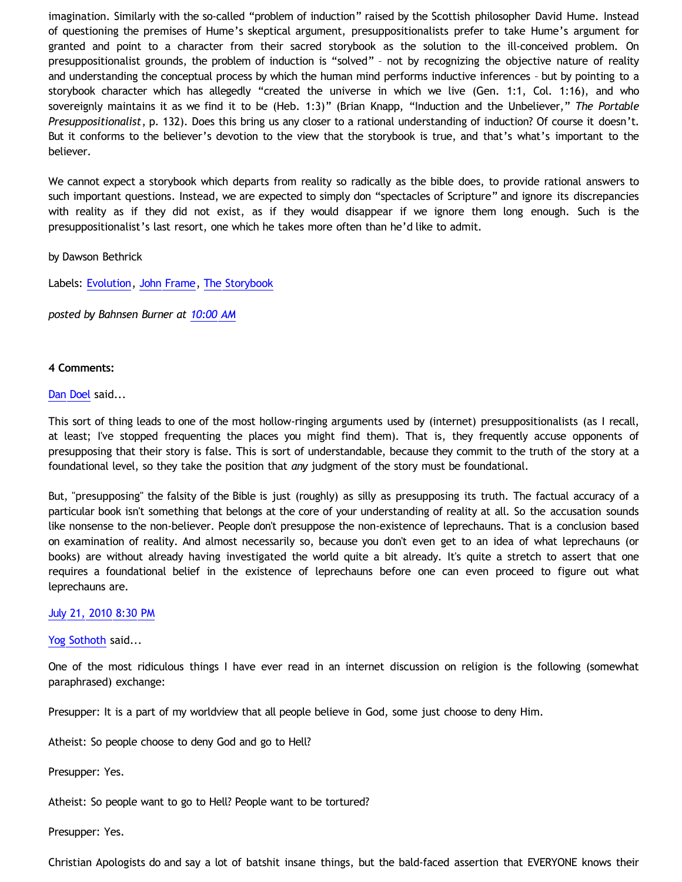imagination. Similarly with the so-called "problem of induction" raised by the Scottish philosopher David Hume. Instead of questioning the premises of Hume's skeptical argument, presuppositionalists prefer to take Hume's argument for granted and point to a character from their sacred storybook as the solution to the ill-conceived problem. On presuppositionalist grounds, the problem of induction is "solved" – not by recognizing the objective nature of reality and understanding the conceptual process by which the human mind performs inductive inferences – but by pointing to a storybook character which has allegedly "created the universe in which we live (Gen. 1:1, Col. 1:16), and who sovereignly maintains it as we find it to be (Heb. 1:3)" (Brian Knapp, "Induction and the Unbeliever," *The Portable Presuppositionalist*, p. 132). Does this bring us any closer to a rational understanding of induction? Of course it doesn't. But it conforms to the believer's devotion to the view that the storybook is true, and that's what's important to the believer.

We cannot expect a storybook which departs from reality so radically as the bible does, to provide rational answers to such important questions. Instead, we are expected to simply don "spectacles of Scripture" and ignore its discrepancies with reality as if they did not exist, as if they would disappear if we ignore them long enough. Such is the presuppositionalist's last resort, one which he takes more often than he'd like to admit.

by Dawson Bethrick

Labels: [Evolution](http://bahnsenburner.blogspot.com/search/label/Evolution), [John Frame](http://bahnsenburner.blogspot.com/search/label/John%20Frame), [The Storybook](http://bahnsenburner.blogspot.com/search/label/The%20Storybook)

*posted by Bahnsen Burner at [10:00 AM](http://bahnsenburner.blogspot.com/2010/07/storybook-worldview.html)*

#### **4 Comments:**

#### [Dan Doel](http://www.blogger.com/profile/16761291400347369301) said...

This sort of thing leads to one of the most hollow-ringing arguments used by (internet) presuppositionalists (as I recall, at least; I've stopped frequenting the places you might find them). That is, they frequently accuse opponents of presupposing that their story is false. This is sort of understandable, because they commit to the truth of the story at a foundational level, so they take the position that *any* judgment of the story must be foundational.

But, "presupposing" the falsity of the Bible is just (roughly) as silly as presupposing its truth. The factual accuracy of a particular book isn't something that belongs at the core of your understanding of reality at all. So the accusation sounds like nonsense to the non-believer. People don't presuppose the non-existence of leprechauns. That is a conclusion based on examination of reality. And almost necessarily so, because you don't even get to an idea of what leprechauns (or books) are without already having investigated the world quite a bit already. It's quite a stretch to assert that one requires a foundational belief in the existence of leprechauns before one can even proceed to figure out what leprechauns are.

#### [July 21, 2010 8:30 PM](http://bahnsenburner.blogspot.com/2010/07/134386438345383609)

#### [Yog Sothoth](http://www.blogger.com/profile/02104602393018428099) said...

One of the most ridiculous things I have ever read in an internet discussion on religion is the following (somewhat paraphrased) exchange:

Presupper: It is a part of my worldview that all people believe in God, some just choose to deny Him.

Atheist: So people choose to deny God and go to Hell?

Presupper: Yes.

Atheist: So people want to go to Hell? People want to be tortured?

Presupper: Yes.

Christian Apologists do and say a lot of batshit insane things, but the bald-faced assertion that EVERYONE knows their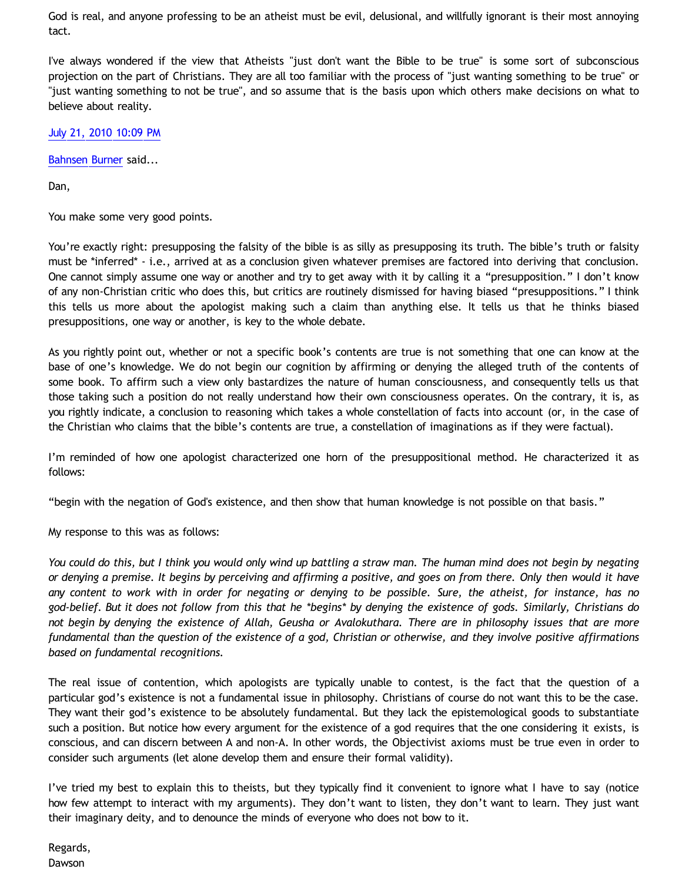God is real, and anyone professing to be an atheist must be evil, delusional, and willfully ignorant is their most annoying tact.

I've always wondered if the view that Atheists "just don't want the Bible to be true" is some sort of subconscious projection on the part of Christians. They are all too familiar with the process of "just wanting something to be true" or "just wanting something to not be true", and so assume that is the basis upon which others make decisions on what to believe about reality.

[July 21, 2010 10:09 PM](http://bahnsenburner.blogspot.com/2010/07/6944985523997665940)

[Bahnsen Burner](http://www.blogger.com/profile/11030029491768748360) said...

Dan,

You make some very good points.

You're exactly right: presupposing the falsity of the bible is as silly as presupposing its truth. The bible's truth or falsity must be \*inferred\* - i.e., arrived at as a conclusion given whatever premises are factored into deriving that conclusion. One cannot simply assume one way or another and try to get away with it by calling it a "presupposition." I don't know of any non-Christian critic who does this, but critics are routinely dismissed for having biased "presuppositions." I think this tells us more about the apologist making such a claim than anything else. It tells us that he thinks biased presuppositions, one way or another, is key to the whole debate.

As you rightly point out, whether or not a specific book's contents are true is not something that one can know at the base of one's knowledge. We do not begin our cognition by affirming or denying the alleged truth of the contents of some book. To affirm such a view only bastardizes the nature of human consciousness, and consequently tells us that those taking such a position do not really understand how their own consciousness operates. On the contrary, it is, as you rightly indicate, a conclusion to reasoning which takes a whole constellation of facts into account (or, in the case of the Christian who claims that the bible's contents are true, a constellation of imaginations as if they were factual).

I'm reminded of how one apologist characterized one horn of the presuppositional method. He characterized it as follows:

"begin with the negation of God's existence, and then show that human knowledge is not possible on that basis."

My response to this was as follows:

*You could do this, but I think you would only wind up battling a straw man. The human mind does not begin by negating or denying a premise. It begins by perceiving and affirming a positive, and goes on from there. Only then would it have any content to work with in order for negating or denying to be possible. Sure, the atheist, for instance, has no god-belief. But it does not follow from this that he \*begins\* by denying the existence of gods. Similarly, Christians do not begin by denying the existence of Allah, Geusha or Avalokuthara. There are in philosophy issues that are more fundamental than the question of the existence of a god, Christian or otherwise, and they involve positive affirmations based on fundamental recognitions.*

The real issue of contention, which apologists are typically unable to contest, is the fact that the question of a particular god's existence is not a fundamental issue in philosophy. Christians of course do not want this to be the case. They want their god's existence to be absolutely fundamental. But they lack the epistemological goods to substantiate such a position. But notice how every argument for the existence of a god requires that the one considering it exists, is conscious, and can discern between A and non-A. In other words, the Objectivist axioms must be true even in order to consider such arguments (let alone develop them and ensure their formal validity).

I've tried my best to explain this to theists, but they typically find it convenient to ignore what I have to say (notice how few attempt to interact with my arguments). They don't want to listen, they don't want to learn. They just want their imaginary deity, and to denounce the minds of everyone who does not bow to it.

Regards, **Dawson**